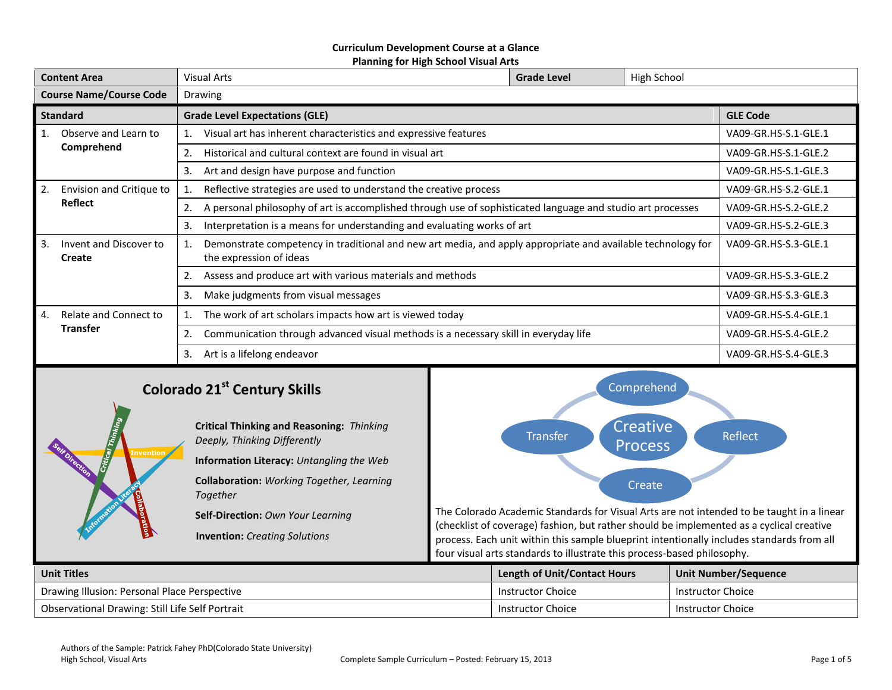#### **Curriculum Development Course at a Glance Planning for High School Visual Arts**

| <b>Content Area</b>            |                                          | High School<br><b>Visual Arts</b><br><b>Grade Level</b>                                                                                |                      |                      |                      |  |
|--------------------------------|------------------------------------------|----------------------------------------------------------------------------------------------------------------------------------------|----------------------|----------------------|----------------------|--|
| <b>Course Name/Course Code</b> |                                          | Drawing                                                                                                                                |                      |                      |                      |  |
| <b>Standard</b>                |                                          | <b>Grade Level Expectations (GLE)</b>                                                                                                  | <b>GLE Code</b>      |                      |                      |  |
| 1.                             | Observe and Learn to                     | Visual art has inherent characteristics and expressive features                                                                        | VA09-GR.HS-S.1-GLE.1 |                      |                      |  |
|                                | Comprehend                               | Historical and cultural context are found in visual art<br>2.                                                                          |                      |                      | VA09-GR.HS-S.1-GLE.2 |  |
|                                |                                          | Art and design have purpose and function<br>3.                                                                                         | VA09-GR.HS-S.1-GLE.3 |                      |                      |  |
| 2.<br>Envision and Critique to |                                          | Reflective strategies are used to understand the creative process                                                                      | VA09-GR.HS-S.2-GLE.1 |                      |                      |  |
|                                | <b>Reflect</b>                           | A personal philosophy of art is accomplished through use of sophisticated language and studio art processes<br>2.                      |                      |                      | VA09-GR.HS-S.2-GLE.2 |  |
|                                |                                          | 3.<br>Interpretation is a means for understanding and evaluating works of art                                                          | VA09-GR.HS-S.2-GLE.3 |                      |                      |  |
| 3.                             | Invent and Discover to<br>Create         | Demonstrate competency in traditional and new art media, and apply appropriate and available technology for<br>the expression of ideas |                      |                      | VA09-GR.HS-S.3-GLE.1 |  |
|                                |                                          | Assess and produce art with various materials and methods                                                                              |                      |                      | VA09-GR.HS-S.3-GLE.2 |  |
|                                |                                          | 3.<br>Make judgments from visual messages                                                                                              |                      | VA09-GR.HS-S.3-GLE.3 |                      |  |
| 4.                             | Relate and Connect to<br><b>Transfer</b> | The work of art scholars impacts how art is viewed today                                                                               |                      |                      | VA09-GR.HS-S.4-GLE.1 |  |
|                                |                                          | 2.<br>Communication through advanced visual methods is a necessary skill in everyday life                                              |                      |                      | VA09-GR.HS-S.4-GLE.2 |  |
|                                | Art is a lifelong endeavor<br>3.         |                                                                                                                                        |                      |                      | VA09-GR.HS-S.4-GLE.3 |  |
|                                | Comprobond                               |                                                                                                                                        |                      |                      |                      |  |

# **Colorado 21st Century Skills**



**Self-Direction:** *Own Your Learning*

**Invention:** *Creating Solutions*



The Colorado Academic Standards for Visual Arts are not intended to be taught in a linear (checklist of coverage) fashion, but rather should be implemented as a cyclical creative process. Each unit within this sample blueprint intentionally includes standards from all four visual arts standards to illustrate this process-based philosophy.

| <b>Unit Titles</b>                              |  | <b>Length of Unit/Contact Hours</b> | <b>Unit Number/Sequence</b> |
|-------------------------------------------------|--|-------------------------------------|-----------------------------|
| Drawing Illusion: Personal Place Perspective    |  | Instructor Choice                   | Instructor Choice           |
| Observational Drawing: Still Life Self Portrait |  | Instructor Choice                   | Instructor Choice           |

**Invention**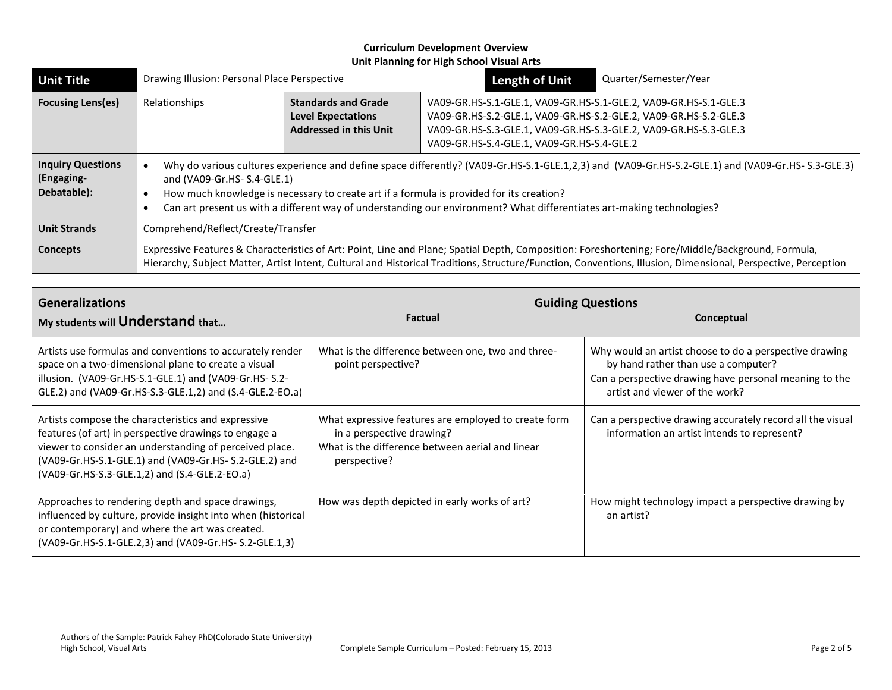| <b>Unit Title</b>                                     | Drawing Illusion: Personal Place Perspective                                                                                                                                                                                                                                                                                                                                                           |                                                                                          | <b>Length of Unit</b>                                                                                                                                                                                                                                  | Quarter/Semester/Year |
|-------------------------------------------------------|--------------------------------------------------------------------------------------------------------------------------------------------------------------------------------------------------------------------------------------------------------------------------------------------------------------------------------------------------------------------------------------------------------|------------------------------------------------------------------------------------------|--------------------------------------------------------------------------------------------------------------------------------------------------------------------------------------------------------------------------------------------------------|-----------------------|
| <b>Focusing Lens(es)</b>                              | Relationships                                                                                                                                                                                                                                                                                                                                                                                          | <b>Standards and Grade</b><br><b>Level Expectations</b><br><b>Addressed in this Unit</b> | VA09-GR.HS-S.1-GLE.1, VA09-GR.HS-S.1-GLE.2, VA09-GR.HS-S.1-GLE.3<br>VA09-GR.HS-S.2-GLE.1, VA09-GR.HS-S.2-GLE.2, VA09-GR.HS-S.2-GLE.3<br>VA09-GR.HS-S.3-GLE.1, VA09-GR.HS-S.3-GLE.2, VA09-GR.HS-S.3-GLE.3<br>VA09-GR.HS-S.4-GLE.1, VA09-GR.HS-S.4-GLE.2 |                       |
| <b>Inquiry Questions</b><br>(Engaging-<br>Debatable): | Why do various cultures experience and define space differently? (VA09-Gr.HS-S.1-GLE.1,2,3) and (VA09-Gr.HS-S.2-GLE.1) and (VA09-Gr.HS-S.3-GLE.3)<br>and (VA09-Gr.HS- S.4-GLE.1)<br>How much knowledge is necessary to create art if a formula is provided for its creation?<br>Can art present us with a different way of understanding our environment? What differentiates art-making technologies? |                                                                                          |                                                                                                                                                                                                                                                        |                       |
| <b>Unit Strands</b>                                   | Comprehend/Reflect/Create/Transfer                                                                                                                                                                                                                                                                                                                                                                     |                                                                                          |                                                                                                                                                                                                                                                        |                       |
| <b>Concepts</b>                                       | Expressive Features & Characteristics of Art: Point, Line and Plane; Spatial Depth, Composition: Foreshortening; Fore/Middle/Background, Formula,<br>Hierarchy, Subject Matter, Artist Intent, Cultural and Historical Traditions, Structure/Function, Conventions, Illusion, Dimensional, Perspective, Perception                                                                                     |                                                                                          |                                                                                                                                                                                                                                                        |                       |

| <b>Generalizations</b><br>My students will Understand that                                                                                                                                                                                                                        | <b>Factual</b>                                                                                                                                        | <b>Guiding Questions</b><br>Conceptual                                                                                                                                                    |
|-----------------------------------------------------------------------------------------------------------------------------------------------------------------------------------------------------------------------------------------------------------------------------------|-------------------------------------------------------------------------------------------------------------------------------------------------------|-------------------------------------------------------------------------------------------------------------------------------------------------------------------------------------------|
| Artists use formulas and conventions to accurately render<br>space on a two-dimensional plane to create a visual<br>illusion. (VA09-Gr.HS-S.1-GLE.1) and (VA09-Gr.HS-S.2-<br>GLE.2) and (VA09-Gr.HS-S.3-GLE.1,2) and (S.4-GLE.2-EO.a)                                             | What is the difference between one, two and three-<br>point perspective?                                                                              | Why would an artist choose to do a perspective drawing<br>by hand rather than use a computer?<br>Can a perspective drawing have personal meaning to the<br>artist and viewer of the work? |
| Artists compose the characteristics and expressive<br>features (of art) in perspective drawings to engage a<br>viewer to consider an understanding of perceived place.<br>(VA09-Gr.HS-S.1-GLE.1) and (VA09-Gr.HS- S.2-GLE.2) and<br>(VA09-Gr.HS-S.3-GLE.1,2) and (S.4-GLE.2-EO.a) | What expressive features are employed to create form<br>in a perspective drawing?<br>What is the difference between aerial and linear<br>perspective? | Can a perspective drawing accurately record all the visual<br>information an artist intends to represent?                                                                                 |
| Approaches to rendering depth and space drawings,<br>influenced by culture, provide insight into when (historical<br>or contemporary) and where the art was created.<br>(VA09-Gr.HS-S.1-GLE.2,3) and (VA09-Gr.HS-S.2-GLE.1,3)                                                     | How was depth depicted in early works of art?                                                                                                         | How might technology impact a perspective drawing by<br>an artist?                                                                                                                        |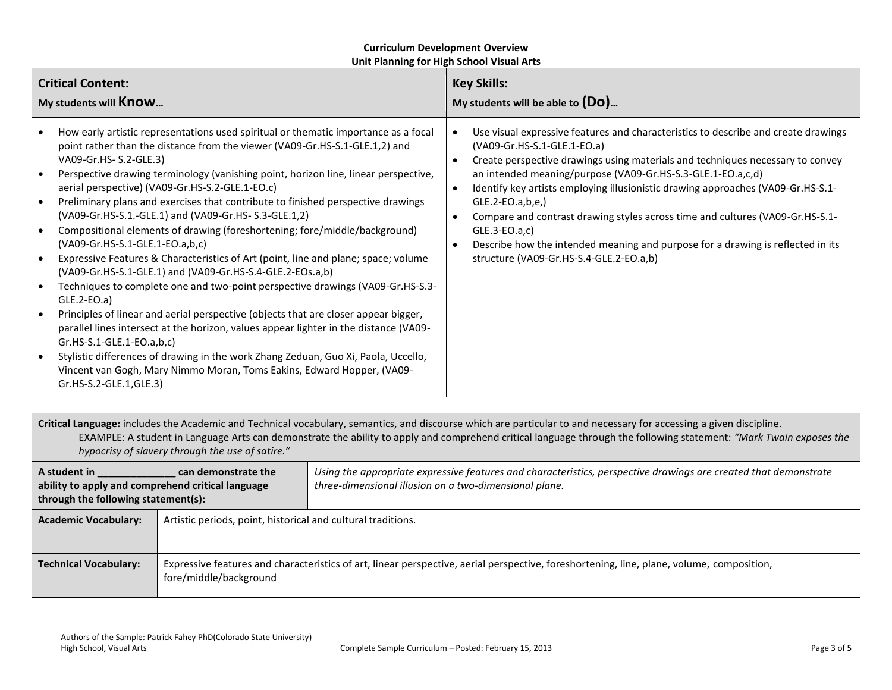| <b>Critical Content:</b>                                                                                                                                                                                                                                                                                                                                                                                                                                                                                                                                                                                                                                                                                                                                                                                                                                                                                                                                                                                                                                                                                                                                                                                                                                           | <b>Key Skills:</b>                                                                                                                                                                                                                                                                                                                                                                                                                                                                                                                                                                                                                                                             |  |
|--------------------------------------------------------------------------------------------------------------------------------------------------------------------------------------------------------------------------------------------------------------------------------------------------------------------------------------------------------------------------------------------------------------------------------------------------------------------------------------------------------------------------------------------------------------------------------------------------------------------------------------------------------------------------------------------------------------------------------------------------------------------------------------------------------------------------------------------------------------------------------------------------------------------------------------------------------------------------------------------------------------------------------------------------------------------------------------------------------------------------------------------------------------------------------------------------------------------------------------------------------------------|--------------------------------------------------------------------------------------------------------------------------------------------------------------------------------------------------------------------------------------------------------------------------------------------------------------------------------------------------------------------------------------------------------------------------------------------------------------------------------------------------------------------------------------------------------------------------------------------------------------------------------------------------------------------------------|--|
| My students will <b>Know</b>                                                                                                                                                                                                                                                                                                                                                                                                                                                                                                                                                                                                                                                                                                                                                                                                                                                                                                                                                                                                                                                                                                                                                                                                                                       | My students will be able to $(Do)$                                                                                                                                                                                                                                                                                                                                                                                                                                                                                                                                                                                                                                             |  |
| How early artistic representations used spiritual or thematic importance as a focal<br>point rather than the distance from the viewer (VA09-Gr.HS-S.1-GLE.1,2) and<br>VA09-Gr.HS- S.2-GLE.3)<br>Perspective drawing terminology (vanishing point, horizon line, linear perspective,<br>aerial perspective) (VA09-Gr.HS-S.2-GLE.1-EO.c)<br>Preliminary plans and exercises that contribute to finished perspective drawings<br>(VA09-Gr.HS-S.1.-GLE.1) and (VA09-Gr.HS-S.3-GLE.1,2)<br>Compositional elements of drawing (foreshortening; fore/middle/background)<br>(VA09-Gr.HS-S.1-GLE.1-EO.a,b,c)<br>Expressive Features & Characteristics of Art (point, line and plane; space; volume<br>(VA09-Gr.HS-S.1-GLE.1) and (VA09-Gr.HS-S.4-GLE.2-EOs.a,b)<br>Techniques to complete one and two-point perspective drawings (VA09-Gr.HS-S.3-<br>$GLE.2-EO.a)$<br>Principles of linear and aerial perspective (objects that are closer appear bigger,<br>parallel lines intersect at the horizon, values appear lighter in the distance (VA09-<br>$Gr.HS-S.1-GLE.1-EO.a,b,c)$<br>Stylistic differences of drawing in the work Zhang Zeduan, Guo Xi, Paola, Uccello,<br>Vincent van Gogh, Mary Nimmo Moran, Toms Eakins, Edward Hopper, (VA09-<br>Gr.HS-S.2-GLE.1,GLE.3) | Use visual expressive features and characteristics to describe and create drawings<br>$\bullet$<br>(VA09-Gr.HS-S.1-GLE.1-EO.a)<br>Create perspective drawings using materials and techniques necessary to convey<br>$\bullet$<br>an intended meaning/purpose (VA09-Gr.HS-S.3-GLE.1-EO.a,c,d)<br>Identify key artists employing illusionistic drawing approaches (VA09-Gr.HS-S.1-<br>$\bullet$<br>$GLE.2-EO.a,b,e,$<br>Compare and contrast drawing styles across time and cultures (VA09-Gr.HS-S.1-<br>$\bullet$<br>$GLE.3-EO.a,c)$<br>Describe how the intended meaning and purpose for a drawing is reflected in its<br>$\bullet$<br>structure (VA09-Gr.HS-S.4-GLE.2-EO.a,b) |  |

**Critical Language:** includes the Academic and Technical vocabulary, semantics, and discourse which are particular to and necessary for accessing a given discipline. EXAMPLE: A student in Language Arts can demonstrate the ability to apply and comprehend critical language through the following statement: *"Mark Twain exposes the hypocrisy of slavery through the use of satire."*

| A student in<br>can demonstrate the<br>ability to apply and comprehend critical language<br>through the following statement(s):                                                                     |                                                              | Using the appropriate expressive features and characteristics, perspective drawings are created that demonstrate<br>three-dimensional illusion on a two-dimensional plane. |
|-----------------------------------------------------------------------------------------------------------------------------------------------------------------------------------------------------|--------------------------------------------------------------|----------------------------------------------------------------------------------------------------------------------------------------------------------------------------|
| <b>Academic Vocabulary:</b>                                                                                                                                                                         | Artistic periods, point, historical and cultural traditions. |                                                                                                                                                                            |
| Expressive features and characteristics of art, linear perspective, aerial perspective, foreshortening, line, plane, volume, composition,<br><b>Technical Vocabulary:</b><br>fore/middle/background |                                                              |                                                                                                                                                                            |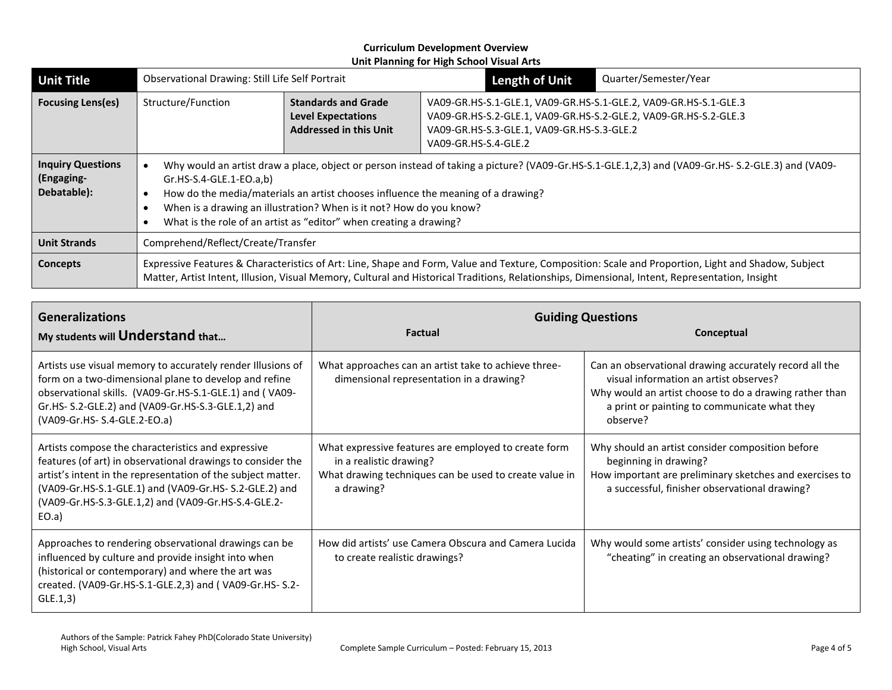| <b>Unit Title</b>                                     | Observational Drawing: Still Life Self Portrait                                                                                                                                                                                                                                                                                                                                                                |  |  | <b>Length of Unit</b>                                                                                                                                                                                      | Quarter/Semester/Year |
|-------------------------------------------------------|----------------------------------------------------------------------------------------------------------------------------------------------------------------------------------------------------------------------------------------------------------------------------------------------------------------------------------------------------------------------------------------------------------------|--|--|------------------------------------------------------------------------------------------------------------------------------------------------------------------------------------------------------------|-----------------------|
| <b>Focusing Lens(es)</b>                              | Structure/Function<br><b>Standards and Grade</b><br><b>Level Expectations</b><br><b>Addressed in this Unit</b>                                                                                                                                                                                                                                                                                                 |  |  | VA09-GR.HS-S.1-GLE.1, VA09-GR.HS-S.1-GLE.2, VA09-GR.HS-S.1-GLE.3<br>VA09-GR.HS-S.2-GLE.1, VA09-GR.HS-S.2-GLE.2, VA09-GR.HS-S.2-GLE.3<br>VA09-GR.HS-S.3-GLE.1, VA09-GR.HS-S.3-GLE.2<br>VA09-GR.HS-S.4-GLE.2 |                       |
| <b>Inquiry Questions</b><br>(Engaging-<br>Debatable): | Why would an artist draw a place, object or person instead of taking a picture? (VA09-Gr.HS-S.1-GLE.1,2,3) and (VA09-Gr.HS-S.2-GLE.3) and (VA09-<br>$Gr.HS-S.4-GLE.1-EO.a,b)$<br>How do the media/materials an artist chooses influence the meaning of a drawing?<br>When is a drawing an illustration? When is it not? How do you know?<br>What is the role of an artist as "editor" when creating a drawing? |  |  |                                                                                                                                                                                                            |                       |
| <b>Unit Strands</b>                                   | Comprehend/Reflect/Create/Transfer                                                                                                                                                                                                                                                                                                                                                                             |  |  |                                                                                                                                                                                                            |                       |
| <b>Concepts</b>                                       | Expressive Features & Characteristics of Art: Line, Shape and Form, Value and Texture, Composition: Scale and Proportion, Light and Shadow, Subject<br>Matter, Artist Intent, Illusion, Visual Memory, Cultural and Historical Traditions, Relationships, Dimensional, Intent, Representation, Insight                                                                                                         |  |  |                                                                                                                                                                                                            |                       |

| <b>Generalizations</b><br>My students will Understand that                                                                                                                                                                                                                                                  | <b>Factual</b>                                                                                                                                          | <b>Guiding Questions</b><br>Conceptual                                                                                                                                                                                 |  |
|-------------------------------------------------------------------------------------------------------------------------------------------------------------------------------------------------------------------------------------------------------------------------------------------------------------|---------------------------------------------------------------------------------------------------------------------------------------------------------|------------------------------------------------------------------------------------------------------------------------------------------------------------------------------------------------------------------------|--|
| Artists use visual memory to accurately render Illusions of<br>form on a two-dimensional plane to develop and refine<br>observational skills. (VA09-Gr.HS-S.1-GLE.1) and (VA09-<br>Gr.HS- S.2-GLE.2) and (VA09-Gr.HS-S.3-GLE.1,2) and<br>(VA09-Gr.HS- S.4-GLE.2-EO.a)                                       | What approaches can an artist take to achieve three-<br>dimensional representation in a drawing?                                                        | Can an observational drawing accurately record all the<br>visual information an artist observes?<br>Why would an artist choose to do a drawing rather than<br>a print or painting to communicate what they<br>observe? |  |
| Artists compose the characteristics and expressive<br>features (of art) in observational drawings to consider the<br>artist's intent in the representation of the subject matter.<br>(VA09-Gr.HS-S.1-GLE.1) and (VA09-Gr.HS- S.2-GLE.2) and<br>(VA09-Gr.HS-S.3-GLE.1,2) and (VA09-Gr.HS-S.4-GLE.2-<br>EO.a) | What expressive features are employed to create form<br>in a realistic drawing?<br>What drawing techniques can be used to create value in<br>a drawing? | Why should an artist consider composition before<br>beginning in drawing?<br>How important are preliminary sketches and exercises to<br>a successful, finisher observational drawing?                                  |  |
| Approaches to rendering observational drawings can be<br>influenced by culture and provide insight into when<br>(historical or contemporary) and where the art was<br>created. (VA09-Gr.HS-S.1-GLE.2,3) and (VA09-Gr.HS-S.2-<br>GLE.1,3)                                                                    | How did artists' use Camera Obscura and Camera Lucida<br>to create realistic drawings?                                                                  | Why would some artists' consider using technology as<br>"cheating" in creating an observational drawing?                                                                                                               |  |